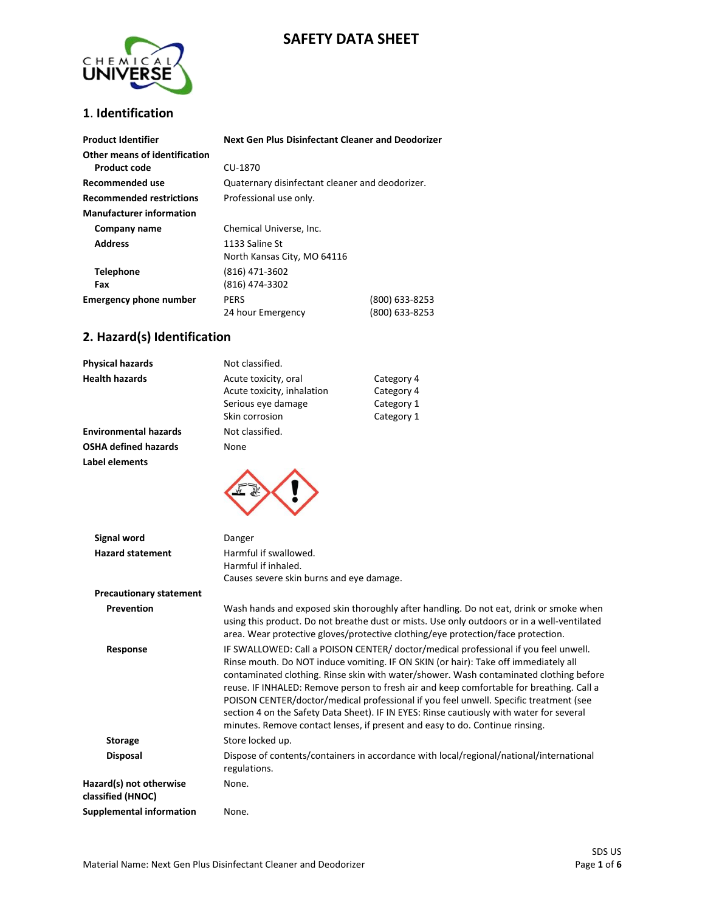# **SAFETY DATA SHEET**



## **1**. **Identification**

| <b>Product Identifier</b>        | <b>Next Gen Plus Disinfectant Cleaner and Deodorizer</b> |                |
|----------------------------------|----------------------------------------------------------|----------------|
| Other means of identification    |                                                          |                |
| Product code                     | CU-1870                                                  |                |
| Recommended use                  | Quaternary disinfectant cleaner and deodorizer.          |                |
| <b>Recommended restrictions</b>  | Professional use only.                                   |                |
| <b>Manufacturer information</b>  |                                                          |                |
| Company name                     | Chemical Universe, Inc.                                  |                |
| <b>Address</b><br>1133 Saline St |                                                          |                |
|                                  | North Kansas City, MO 64116                              |                |
| <b>Telephone</b>                 | (816) 471-3602                                           |                |
| Fax                              | (816) 474-3302                                           |                |
| <b>Emergency phone number</b>    | <b>PERS</b>                                              | (800) 633-8253 |
|                                  | 24 hour Emergency                                        | (800) 633-8253 |

#### **2. Hazard(s) Identification**

| <b>Physical hazards</b>                       | Not classified.                                                                            |                                                      |
|-----------------------------------------------|--------------------------------------------------------------------------------------------|------------------------------------------------------|
| <b>Health hazards</b>                         | Acute toxicity, oral<br>Acute toxicity, inhalation<br>Serious eye damage<br>Skin corrosion | Category 4<br>Category 4<br>Category 1<br>Category 1 |
| <b>Environmental hazards</b>                  | Not classified.                                                                            |                                                      |
| <b>OSHA defined hazards</b><br>Label elements | None                                                                                       |                                                      |
|                                               |                                                                                            |                                                      |

| Signal word                                  | Danger                                                                                                                                                                                                                                                                                                                                                                                                                                                                                                                                                                                                                                |
|----------------------------------------------|---------------------------------------------------------------------------------------------------------------------------------------------------------------------------------------------------------------------------------------------------------------------------------------------------------------------------------------------------------------------------------------------------------------------------------------------------------------------------------------------------------------------------------------------------------------------------------------------------------------------------------------|
| <b>Hazard statement</b>                      | Harmful if swallowed.<br>Harmful if inhaled.<br>Causes severe skin burns and eye damage.                                                                                                                                                                                                                                                                                                                                                                                                                                                                                                                                              |
| <b>Precautionary statement</b>               |                                                                                                                                                                                                                                                                                                                                                                                                                                                                                                                                                                                                                                       |
| Prevention                                   | Wash hands and exposed skin thoroughly after handling. Do not eat, drink or smoke when<br>using this product. Do not breathe dust or mists. Use only outdoors or in a well-ventilated<br>area. Wear protective gloves/protective clothing/eye protection/face protection.                                                                                                                                                                                                                                                                                                                                                             |
| Response                                     | IF SWALLOWED: Call a POISON CENTER/ doctor/medical professional if you feel unwell.<br>Rinse mouth. Do NOT induce vomiting. IF ON SKIN (or hair): Take off immediately all<br>contaminated clothing. Rinse skin with water/shower. Wash contaminated clothing before<br>reuse. IF INHALED: Remove person to fresh air and keep comfortable for breathing. Call a<br>POISON CENTER/doctor/medical professional if you feel unwell. Specific treatment (see<br>section 4 on the Safety Data Sheet). IF IN EYES: Rinse cautiously with water for several<br>minutes. Remove contact lenses, if present and easy to do. Continue rinsing. |
| <b>Storage</b>                               | Store locked up.                                                                                                                                                                                                                                                                                                                                                                                                                                                                                                                                                                                                                      |
| <b>Disposal</b>                              | Dispose of contents/containers in accordance with local/regional/national/international<br>regulations.                                                                                                                                                                                                                                                                                                                                                                                                                                                                                                                               |
| Hazard(s) not otherwise<br>classified (HNOC) | None.                                                                                                                                                                                                                                                                                                                                                                                                                                                                                                                                                                                                                                 |
| Supplemental information                     | None.                                                                                                                                                                                                                                                                                                                                                                                                                                                                                                                                                                                                                                 |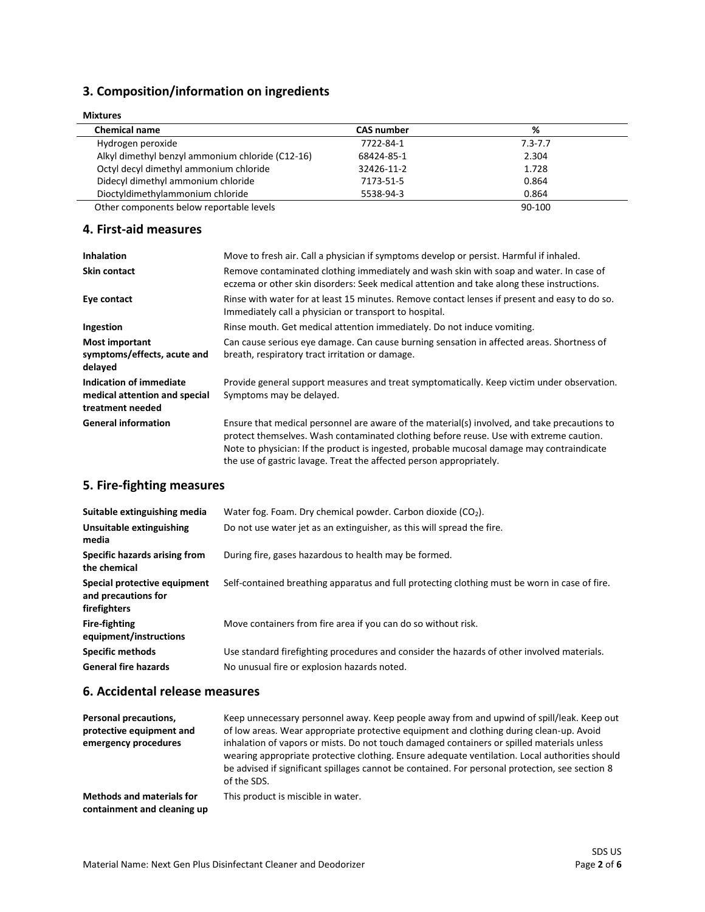## **3. Composition/information on ingredients**

| <b>Mixtures</b>                                  |                   |             |  |
|--------------------------------------------------|-------------------|-------------|--|
| <b>Chemical name</b>                             | <b>CAS number</b> | %           |  |
| Hydrogen peroxide                                | 7722-84-1         | $7.3 - 7.7$ |  |
| Alkyl dimethyl benzyl ammonium chloride (C12-16) | 68424-85-1        | 2.304       |  |
| Octyl decyl dimethyl ammonium chloride           | 32426-11-2        | 1.728       |  |
| Didecyl dimethyl ammonium chloride               | 7173-51-5         | 0.864       |  |
| Dioctyldimethylammonium chloride                 | 5538-94-3         | 0.864       |  |
| Other components below reportable levels         |                   | 90-100      |  |

#### **4. First-aid measures**

| <b>Inhalation</b>                                                            | Move to fresh air. Call a physician if symptoms develop or persist. Harmful if inhaled.                                                                                                                                                                                                                                                                    |
|------------------------------------------------------------------------------|------------------------------------------------------------------------------------------------------------------------------------------------------------------------------------------------------------------------------------------------------------------------------------------------------------------------------------------------------------|
| <b>Skin contact</b>                                                          | Remove contaminated clothing immediately and wash skin with soap and water. In case of<br>eczema or other skin disorders: Seek medical attention and take along these instructions.                                                                                                                                                                        |
| Eye contact                                                                  | Rinse with water for at least 15 minutes. Remove contact lenses if present and easy to do so.<br>Immediately call a physician or transport to hospital.                                                                                                                                                                                                    |
| Ingestion                                                                    | Rinse mouth. Get medical attention immediately. Do not induce vomiting.                                                                                                                                                                                                                                                                                    |
| <b>Most important</b><br>symptoms/effects, acute and<br>delayed              | Can cause serious eye damage. Can cause burning sensation in affected areas. Shortness of<br>breath, respiratory tract irritation or damage.                                                                                                                                                                                                               |
| Indication of immediate<br>medical attention and special<br>treatment needed | Provide general support measures and treat symptomatically. Keep victim under observation.<br>Symptoms may be delayed.                                                                                                                                                                                                                                     |
| <b>General information</b>                                                   | Ensure that medical personnel are aware of the material(s) involved, and take precautions to<br>protect themselves. Wash contaminated clothing before reuse. Use with extreme caution.<br>Note to physician: If the product is ingested, probable mucosal damage may contraindicate<br>the use of gastric lavage. Treat the affected person appropriately. |

# **5. Fire-fighting measures**

| Suitable extinguishing media                                        | Water fog. Foam. Dry chemical powder. Carbon dioxide $(CO2)$ .                                |
|---------------------------------------------------------------------|-----------------------------------------------------------------------------------------------|
| Unsuitable extinguishing<br>media                                   | Do not use water jet as an extinguisher, as this will spread the fire.                        |
| Specific hazards arising from<br>the chemical                       | During fire, gases hazardous to health may be formed.                                         |
| Special protective equipment<br>and precautions for<br>firefighters | Self-contained breathing apparatus and full protecting clothing must be worn in case of fire. |
| <b>Fire-fighting</b><br>equipment/instructions                      | Move containers from fire area if you can do so without risk.                                 |
| <b>Specific methods</b>                                             | Use standard firefighting procedures and consider the hazards of other involved materials.    |
| <b>General fire hazards</b>                                         | No unusual fire or explosion hazards noted.                                                   |

#### **6. Accidental release measures**

| Personal precautions,<br>protective equipment and<br>emergency procedures | Keep unnecessary personnel away. Keep people away from and upwind of spill/leak. Keep out<br>of low areas. Wear appropriate protective equipment and clothing during clean-up. Avoid<br>inhalation of vapors or mists. Do not touch damaged containers or spilled materials unless<br>wearing appropriate protective clothing. Ensure adequate ventilation. Local authorities should<br>be advised if significant spillages cannot be contained. For personal protection, see section 8<br>of the SDS. |
|---------------------------------------------------------------------------|--------------------------------------------------------------------------------------------------------------------------------------------------------------------------------------------------------------------------------------------------------------------------------------------------------------------------------------------------------------------------------------------------------------------------------------------------------------------------------------------------------|
| <b>Methods and materials for</b><br>containment and cleaning up           | This product is miscible in water.                                                                                                                                                                                                                                                                                                                                                                                                                                                                     |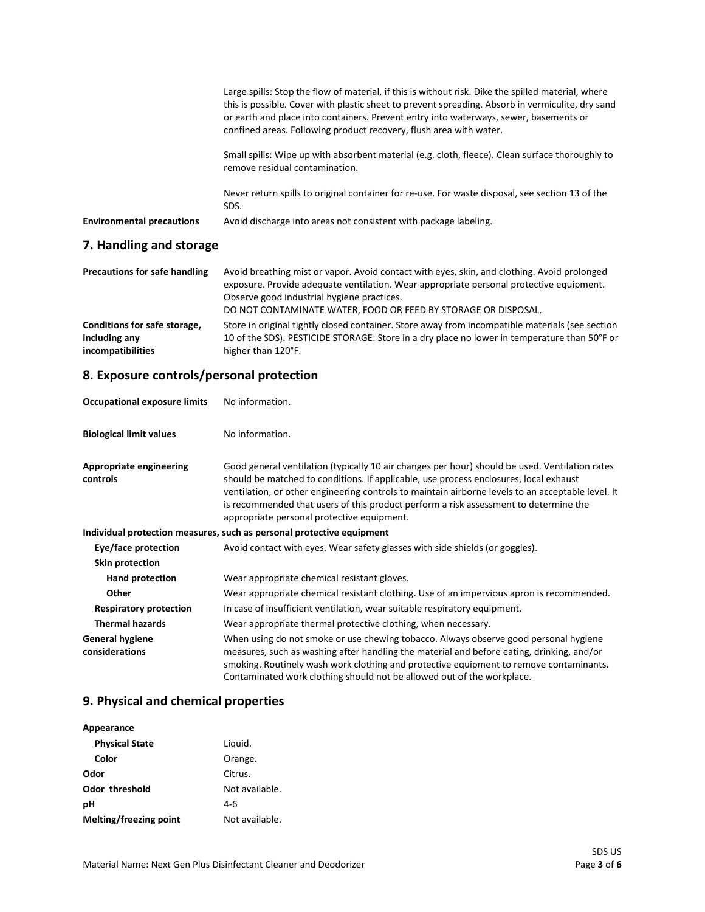|                                  | Large spills: Stop the flow of material, if this is without risk. Dike the spilled material, where<br>this is possible. Cover with plastic sheet to prevent spreading. Absorb in vermiculite, dry sand<br>or earth and place into containers. Prevent entry into waterways, sewer, basements or<br>confined areas. Following product recovery, flush area with water. |
|----------------------------------|-----------------------------------------------------------------------------------------------------------------------------------------------------------------------------------------------------------------------------------------------------------------------------------------------------------------------------------------------------------------------|
|                                  | Small spills: Wipe up with absorbent material (e.g. cloth, fleece). Clean surface thoroughly to<br>remove residual contamination.                                                                                                                                                                                                                                     |
|                                  | Never return spills to original container for re-use. For waste disposal, see section 13 of the<br>SDS.                                                                                                                                                                                                                                                               |
| <b>Environmental precautions</b> | Avoid discharge into areas not consistent with package labeling.                                                                                                                                                                                                                                                                                                      |
| 7. Handling and storage          |                                                                                                                                                                                                                                                                                                                                                                       |

| <b>Precautions for safe handling</b> | Avoid breathing mist or vapor. Avoid contact with eyes, skin, and clothing. Avoid prolonged<br>exposure. Provide adequate ventilation. Wear appropriate personal protective equipment.<br>Observe good industrial hygiene practices.<br>DO NOT CONTAMINATE WATER, FOOD OR FEED BY STORAGE OR DISPOSAL. |
|--------------------------------------|--------------------------------------------------------------------------------------------------------------------------------------------------------------------------------------------------------------------------------------------------------------------------------------------------------|
| Conditions for safe storage,         | Store in original tightly closed container. Store away from incompatible materials (see section                                                                                                                                                                                                        |
| including any                        | 10 of the SDS). PESTICIDE STORAGE: Store in a dry place no lower in temperature than 50°F or                                                                                                                                                                                                           |
| incompatibilities                    | higher than 120°F.                                                                                                                                                                                                                                                                                     |

## **8. Exposure controls/personal protection**

| <b>Occupational exposure limits</b>        | No information.                                                                                                                                                                                                                                                                                                                                                                                                                    |
|--------------------------------------------|------------------------------------------------------------------------------------------------------------------------------------------------------------------------------------------------------------------------------------------------------------------------------------------------------------------------------------------------------------------------------------------------------------------------------------|
| <b>Biological limit values</b>             | No information.                                                                                                                                                                                                                                                                                                                                                                                                                    |
| <b>Appropriate engineering</b><br>controls | Good general ventilation (typically 10 air changes per hour) should be used. Ventilation rates<br>should be matched to conditions. If applicable, use process enclosures, local exhaust<br>ventilation, or other engineering controls to maintain airborne levels to an acceptable level. It<br>is recommended that users of this product perform a risk assessment to determine the<br>appropriate personal protective equipment. |
|                                            | Individual protection measures, such as personal protective equipment                                                                                                                                                                                                                                                                                                                                                              |
| Eye/face protection                        | Avoid contact with eyes. Wear safety glasses with side shields (or goggles).                                                                                                                                                                                                                                                                                                                                                       |
| <b>Skin protection</b>                     |                                                                                                                                                                                                                                                                                                                                                                                                                                    |
| <b>Hand protection</b>                     | Wear appropriate chemical resistant gloves.                                                                                                                                                                                                                                                                                                                                                                                        |
| Other                                      | Wear appropriate chemical resistant clothing. Use of an impervious apron is recommended.                                                                                                                                                                                                                                                                                                                                           |
| <b>Respiratory protection</b>              | In case of insufficient ventilation, wear suitable respiratory equipment.                                                                                                                                                                                                                                                                                                                                                          |
| <b>Thermal hazards</b>                     | Wear appropriate thermal protective clothing, when necessary.                                                                                                                                                                                                                                                                                                                                                                      |
| <b>General hygiene</b><br>considerations   | When using do not smoke or use chewing tobacco. Always observe good personal hygiene<br>measures, such as washing after handling the material and before eating, drinking, and/or<br>smoking. Routinely wash work clothing and protective equipment to remove contaminants.<br>Contaminated work clothing should not be allowed out of the workplace.                                                                              |

# **9. Physical and chemical properties**

| Appearance             |                |
|------------------------|----------------|
| <b>Physical State</b>  | Liquid.        |
| Color                  | Orange.        |
| Odor                   | Citrus.        |
| <b>Odor threshold</b>  | Not available. |
| рH                     | 4-6            |
| Melting/freezing point | Not available. |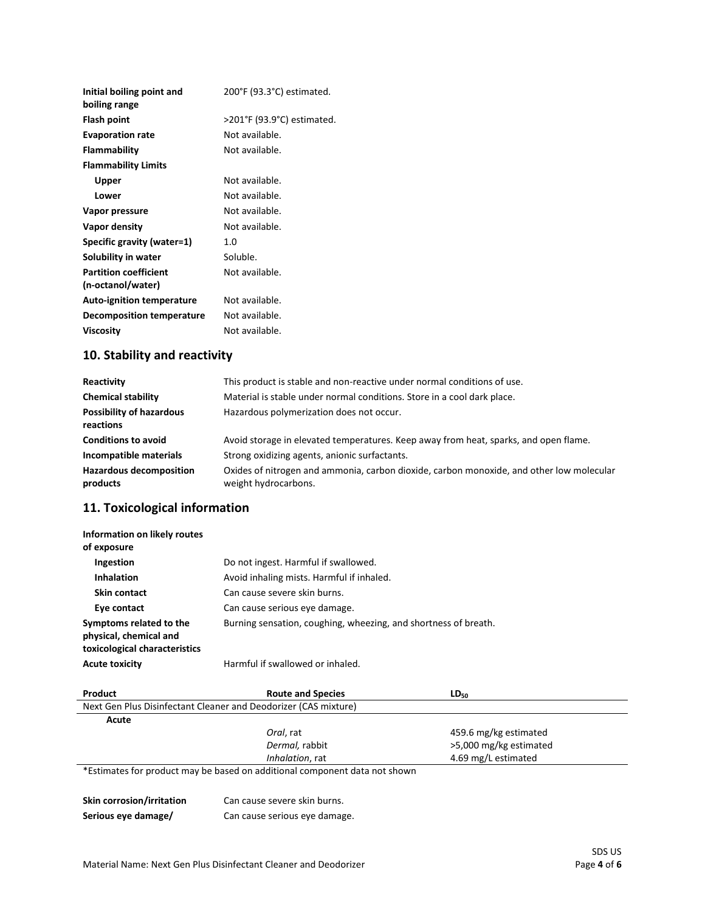| Initial boiling point and<br>boiling range        | 200°F (93.3°C) estimated.  |
|---------------------------------------------------|----------------------------|
| <b>Flash point</b>                                | >201°F (93.9°C) estimated. |
| <b>Evaporation rate</b>                           | Not available.             |
| Flammability                                      | Not available.             |
| <b>Flammability Limits</b>                        |                            |
| Upper                                             | Not available.             |
| Lower                                             | Not available.             |
| Vapor pressure                                    | Not available.             |
| Vapor density                                     | Not available.             |
| Specific gravity (water=1)                        | 1. $\Omega$                |
| Solubility in water                               | Soluble.                   |
| <b>Partition coefficient</b><br>(n-octanol/water) | Not available.             |
| <b>Auto-ignition temperature</b>                  | Not available.             |
| Decomposition temperature                         | Not available.             |
| <b>Viscosity</b>                                  | Not available.             |
|                                                   |                            |

# **10. Stability and reactivity**

| Reactivity                                   | This product is stable and non-reactive under normal conditions of use.                                          |
|----------------------------------------------|------------------------------------------------------------------------------------------------------------------|
| <b>Chemical stability</b>                    | Material is stable under normal conditions. Store in a cool dark place.                                          |
| <b>Possibility of hazardous</b><br>reactions | Hazardous polymerization does not occur.                                                                         |
| <b>Conditions to avoid</b>                   | Avoid storage in elevated temperatures. Keep away from heat, sparks, and open flame.                             |
| Incompatible materials                       | Strong oxidizing agents, anionic surfactants.                                                                    |
| <b>Hazardous decomposition</b><br>products   | Oxides of nitrogen and ammonia, carbon dioxide, carbon monoxide, and other low molecular<br>weight hydrocarbons. |

# **11. Toxicological information**

| Information on likely routes<br>of exposure                                        |                                                                 |
|------------------------------------------------------------------------------------|-----------------------------------------------------------------|
| Ingestion                                                                          | Do not ingest. Harmful if swallowed.                            |
| <b>Inhalation</b>                                                                  | Avoid inhaling mists. Harmful if inhaled.                       |
| <b>Skin contact</b>                                                                | Can cause severe skin burns.                                    |
| Eye contact                                                                        | Can cause serious eye damage.                                   |
| Symptoms related to the<br>physical, chemical and<br>toxicological characteristics | Burning sensation, coughing, wheezing, and shortness of breath. |
| <b>Acute toxicity</b>                                                              | Harmful if swallowed or inhaled.                                |

| Product                                                                    | <b>Route and Species</b> | $LD_{50}$              |
|----------------------------------------------------------------------------|--------------------------|------------------------|
| Next Gen Plus Disinfectant Cleaner and Deodorizer (CAS mixture)            |                          |                        |
| Acute                                                                      |                          |                        |
|                                                                            | Oral, rat                | 459.6 mg/kg estimated  |
|                                                                            | Dermal, rabbit           | >5,000 mg/kg estimated |
|                                                                            | Inhalation, rat          | 4.69 mg/L estimated    |
| *Estimates for product may be based on additional component data not shown |                          |                        |

| Skin corrosion/irritation | Can cause severe skin burns.  |
|---------------------------|-------------------------------|
| Serious eye damage/       | Can cause serious eye damage. |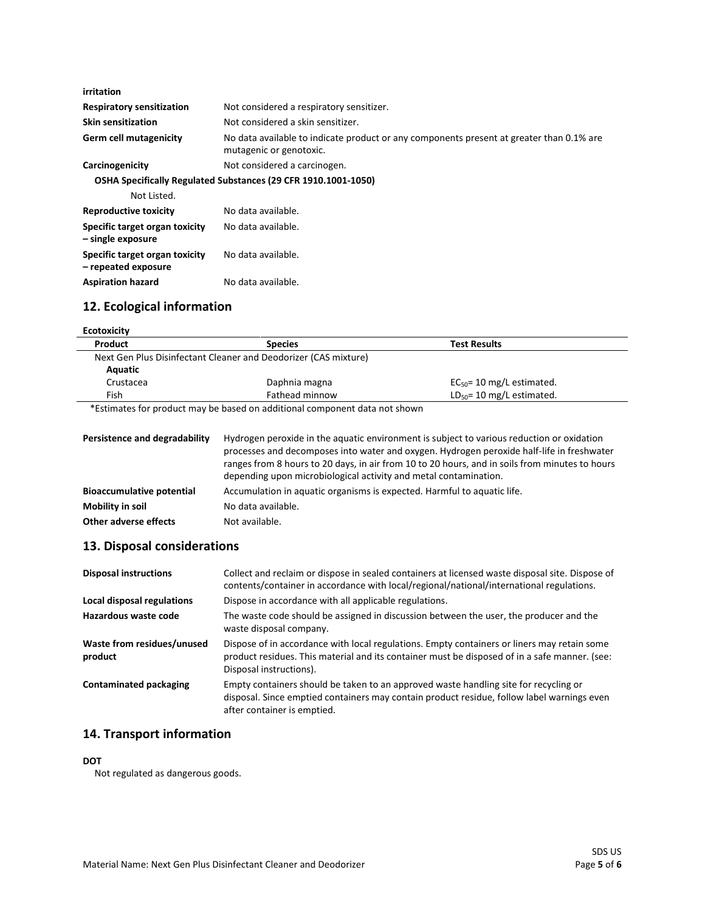| irritation                                            |                                                                                                                     |
|-------------------------------------------------------|---------------------------------------------------------------------------------------------------------------------|
| <b>Respiratory sensitization</b>                      | Not considered a respiratory sensitizer.                                                                            |
| <b>Skin sensitization</b>                             | Not considered a skin sensitizer.                                                                                   |
| <b>Germ cell mutagenicity</b>                         | No data available to indicate product or any components present at greater than 0.1% are<br>mutagenic or genotoxic. |
| Carcinogenicity                                       | Not considered a carcinogen.                                                                                        |
|                                                       | OSHA Specifically Regulated Substances (29 CFR 1910.1001-1050)                                                      |
| Not Listed.                                           |                                                                                                                     |
| <b>Reproductive toxicity</b>                          | No data available.                                                                                                  |
| Specific target organ toxicity<br>- single exposure   | No data available.                                                                                                  |
| Specific target organ toxicity<br>- repeated exposure | No data available.                                                                                                  |
| <b>Aspiration hazard</b>                              | No data available.                                                                                                  |

# **12. Ecological information**

| Product   | <b>Species</b>                                                  | <b>Test Results</b>            |
|-----------|-----------------------------------------------------------------|--------------------------------|
|           | Next Gen Plus Disinfectant Cleaner and Deodorizer (CAS mixture) |                                |
| Aquatic   |                                                                 |                                |
| Crustacea | Daphnia magna                                                   | $EC_{50}$ = 10 mg/L estimated. |
| Fish      | Fathead minnow                                                  | $LD_{50} = 10$ mg/L estimated. |

| Persistence and degradability    | Hydrogen peroxide in the aquatic environment is subject to various reduction or oxidation<br>processes and decomposes into water and oxygen. Hydrogen peroxide half-life in freshwater<br>ranges from 8 hours to 20 days, in air from 10 to 20 hours, and in soils from minutes to hours<br>depending upon microbiological activity and metal contamination. |
|----------------------------------|--------------------------------------------------------------------------------------------------------------------------------------------------------------------------------------------------------------------------------------------------------------------------------------------------------------------------------------------------------------|
| <b>Bioaccumulative potential</b> | Accumulation in aquatic organisms is expected. Harmful to aquatic life.                                                                                                                                                                                                                                                                                      |
| Mobility in soil                 | No data available.                                                                                                                                                                                                                                                                                                                                           |
| Other adverse effects            | Not available.                                                                                                                                                                                                                                                                                                                                               |

## **13. Disposal considerations**

| <b>Disposal instructions</b>          | Collect and reclaim or dispose in sealed containers at licensed waste disposal site. Dispose of<br>contents/container in accordance with local/regional/national/international regulations.                             |
|---------------------------------------|-------------------------------------------------------------------------------------------------------------------------------------------------------------------------------------------------------------------------|
| Local disposal regulations            | Dispose in accordance with all applicable regulations.                                                                                                                                                                  |
| Hazardous waste code                  | The waste code should be assigned in discussion between the user, the producer and the<br>waste disposal company.                                                                                                       |
| Waste from residues/unused<br>product | Dispose of in accordance with local regulations. Empty containers or liners may retain some<br>product residues. This material and its container must be disposed of in a safe manner. (see:<br>Disposal instructions). |
| <b>Contaminated packaging</b>         | Empty containers should be taken to an approved waste handling site for recycling or<br>disposal. Since emptied containers may contain product residue, follow label warnings even<br>after container is emptied.       |

## **14. Transport information**

#### **DOT**

Not regulated as dangerous goods.